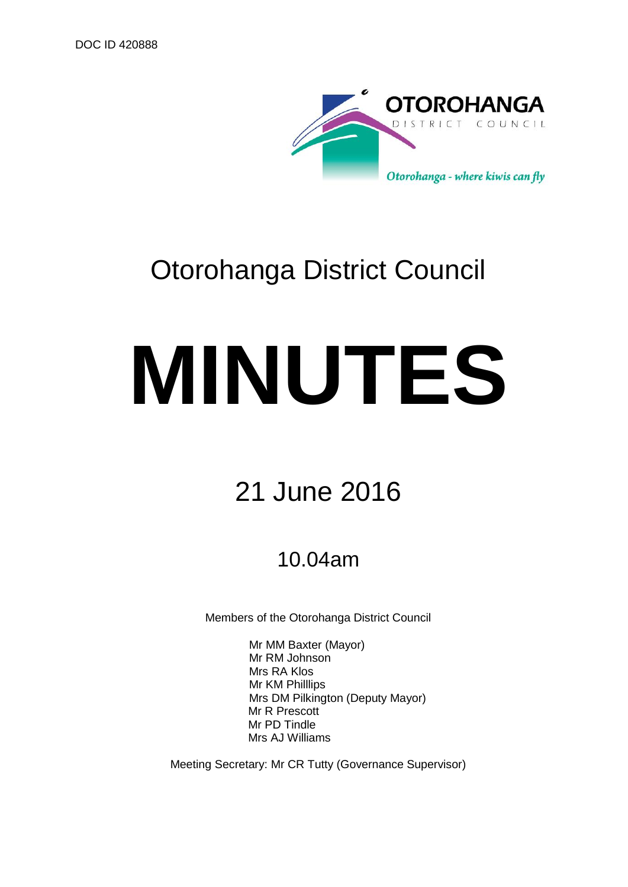

# Otorohanga District Council

# **MINUTES**

# 21 June 2016

# 10.04am

Members of the Otorohanga District Council

Mr MM Baxter (Mayor) Mr RM Johnson Mrs RA Klos Mr KM Philllips Mrs DM Pilkington (Deputy Mayor) Mr R Prescott Mr PD Tindle Mrs AJ Williams

Meeting Secretary: Mr CR Tutty (Governance Supervisor)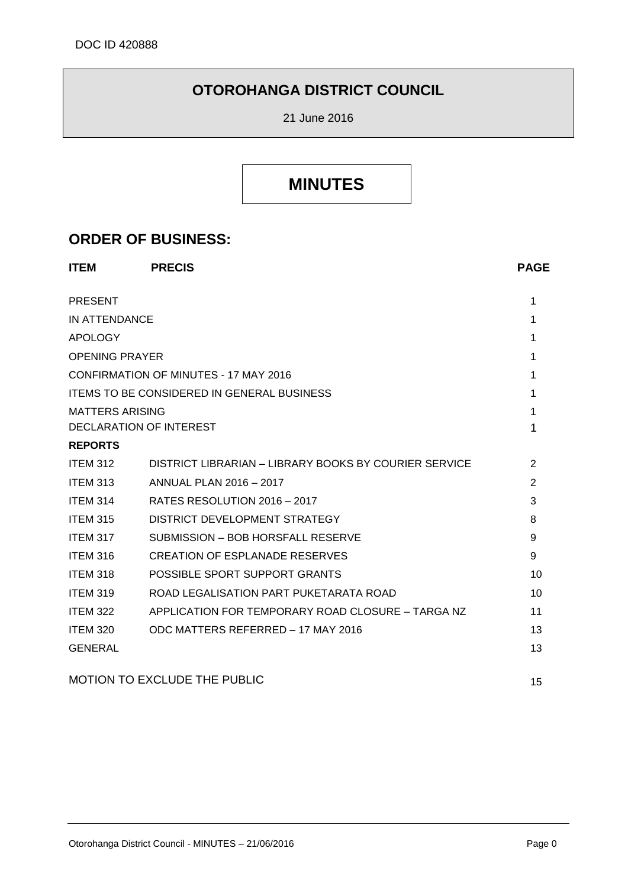## **OTOROHANGA DISTRICT COUNCIL**

21 June 2016

## **MINUTES**

### **ORDER OF BUSINESS:**

| <b>ITEM</b>           | <b>PRECIS</b>                                         | <b>PAGE</b> |
|-----------------------|-------------------------------------------------------|-------------|
| <b>PRESENT</b>        |                                                       | 1           |
| IN ATTENDANCE         |                                                       | 1           |
| <b>APOLOGY</b>        |                                                       | 1           |
| <b>OPENING PRAYER</b> |                                                       | 1           |
|                       | <b>CONFIRMATION OF MINUTES - 17 MAY 2016</b>          | 1           |
|                       | <b>ITEMS TO BE CONSIDERED IN GENERAL BUSINESS</b>     | 1           |
| MATTERS ARISING       |                                                       | 1           |
|                       | DECLARATION OF INTEREST                               | 1           |
| <b>REPORTS</b>        |                                                       |             |
| <b>ITEM 312</b>       | DISTRICT LIBRARIAN - LIBRARY BOOKS BY COURIER SERVICE | 2           |
| <b>ITEM 313</b>       | ANNUAL PLAN 2016 - 2017                               | 2           |
| <b>ITEM 314</b>       | RATES RESOLUTION 2016 - 2017                          | 3           |
| <b>ITEM 315</b>       | DISTRICT DEVELOPMENT STRATEGY                         | 8           |
| <b>ITEM 317</b>       | SUBMISSION - BOB HORSFALL RESERVE                     | 9           |
| <b>ITEM 316</b>       | CREATION OF ESPLANADE RESERVES                        | 9           |
| <b>ITEM 318</b>       | POSSIBLE SPORT SUPPORT GRANTS                         | 10          |
| <b>ITEM 319</b>       | ROAD LEGALISATION PART PUKETARATA ROAD                | 10          |
| <b>ITEM 322</b>       | APPLICATION FOR TEMPORARY ROAD CLOSURE - TARGA NZ     | 11          |
| <b>ITEM 320</b>       | ODC MATTERS REFERRED - 17 MAY 2016                    | 13          |
| <b>GENERAL</b>        |                                                       | 13          |
|                       | <b>MOTION TO EXCLUDE THE PUBLIC</b>                   | 15          |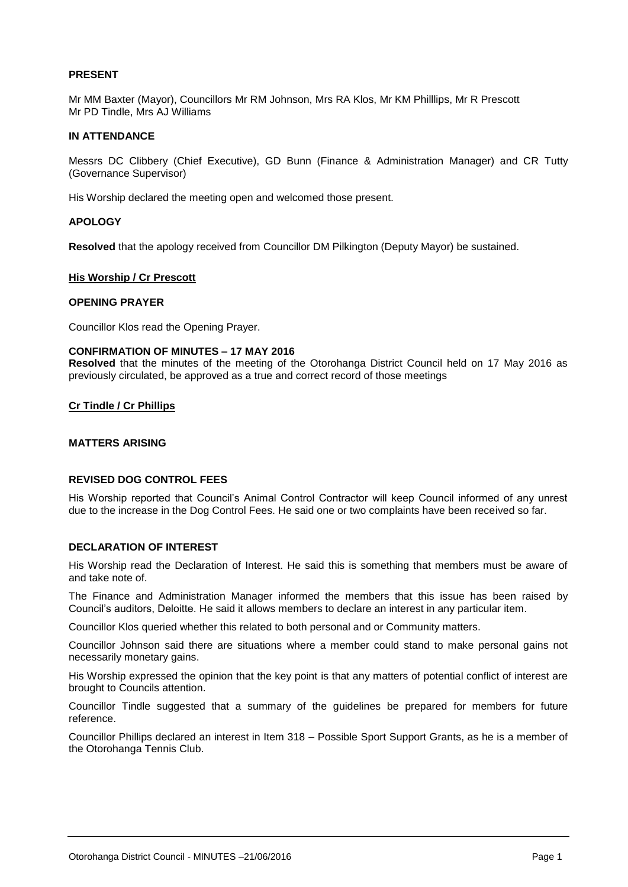#### **PRESENT**

Mr MM Baxter (Mayor), Councillors Mr RM Johnson, Mrs RA Klos, Mr KM Philllips, Mr R Prescott Mr PD Tindle, Mrs AJ Williams

#### **IN ATTENDANCE**

Messrs DC Clibbery (Chief Executive), GD Bunn (Finance & Administration Manager) and CR Tutty (Governance Supervisor)

His Worship declared the meeting open and welcomed those present.

#### **APOLOGY**

**Resolved** that the apology received from Councillor DM Pilkington (Deputy Mayor) be sustained.

#### **His Worship / Cr Prescott**

#### **OPENING PRAYER**

Councillor Klos read the Opening Prayer.

#### **CONFIRMATION OF MINUTES – 17 MAY 2016**

**Resolved** that the minutes of the meeting of the Otorohanga District Council held on 17 May 2016 as previously circulated, be approved as a true and correct record of those meetings

#### **Cr Tindle / Cr Phillips**

#### **MATTERS ARISING**

#### **REVISED DOG CONTROL FEES**

His Worship reported that Council's Animal Control Contractor will keep Council informed of any unrest due to the increase in the Dog Control Fees. He said one or two complaints have been received so far.

#### **DECLARATION OF INTEREST**

His Worship read the Declaration of Interest. He said this is something that members must be aware of and take note of.

The Finance and Administration Manager informed the members that this issue has been raised by Council's auditors, Deloitte. He said it allows members to declare an interest in any particular item.

Councillor Klos queried whether this related to both personal and or Community matters.

Councillor Johnson said there are situations where a member could stand to make personal gains not necessarily monetary gains.

His Worship expressed the opinion that the key point is that any matters of potential conflict of interest are brought to Councils attention.

Councillor Tindle suggested that a summary of the guidelines be prepared for members for future reference.

Councillor Phillips declared an interest in Item 318 – Possible Sport Support Grants, as he is a member of the Otorohanga Tennis Club.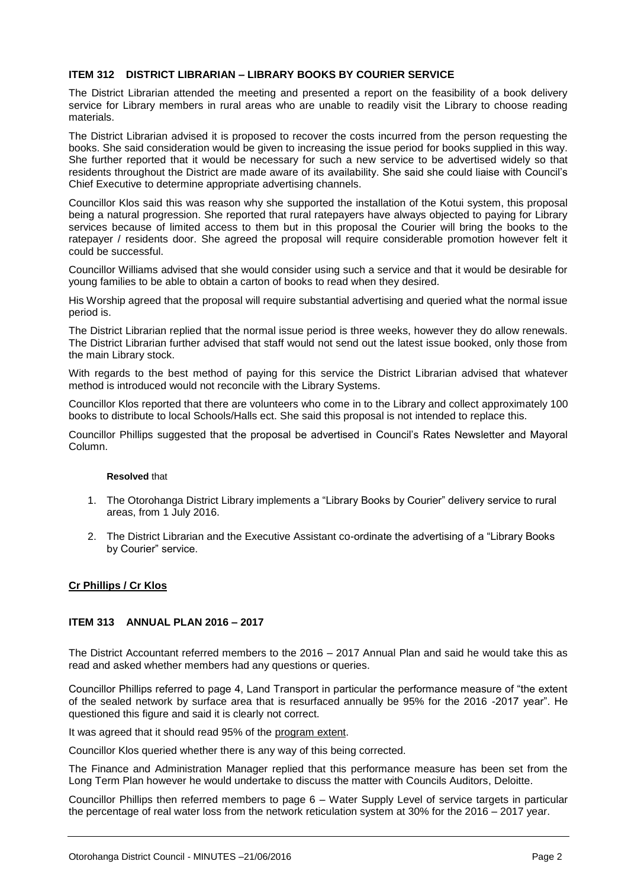#### **ITEM 312 DISTRICT LIBRARIAN – LIBRARY BOOKS BY COURIER SERVICE**

The District Librarian attended the meeting and presented a report on the feasibility of a book delivery service for Library members in rural areas who are unable to readily visit the Library to choose reading materials.

The District Librarian advised it is proposed to recover the costs incurred from the person requesting the books. She said consideration would be given to increasing the issue period for books supplied in this way. She further reported that it would be necessary for such a new service to be advertised widely so that residents throughout the District are made aware of its availability. She said she could liaise with Council's Chief Executive to determine appropriate advertising channels.

Councillor Klos said this was reason why she supported the installation of the Kotui system, this proposal being a natural progression. She reported that rural ratepayers have always objected to paying for Library services because of limited access to them but in this proposal the Courier will bring the books to the ratepayer / residents door. She agreed the proposal will require considerable promotion however felt it could be successful.

Councillor Williams advised that she would consider using such a service and that it would be desirable for young families to be able to obtain a carton of books to read when they desired.

His Worship agreed that the proposal will require substantial advertising and queried what the normal issue period is.

The District Librarian replied that the normal issue period is three weeks, however they do allow renewals. The District Librarian further advised that staff would not send out the latest issue booked, only those from the main Library stock.

With regards to the best method of paying for this service the District Librarian advised that whatever method is introduced would not reconcile with the Library Systems.

Councillor Klos reported that there are volunteers who come in to the Library and collect approximately 100 books to distribute to local Schools/Halls ect. She said this proposal is not intended to replace this.

Councillor Phillips suggested that the proposal be advertised in Council's Rates Newsletter and Mayoral Column.

#### **Resolved** that

- 1. The Otorohanga District Library implements a "Library Books by Courier" delivery service to rural areas, from 1 July 2016.
- 2. The District Librarian and the Executive Assistant co-ordinate the advertising of a "Library Books by Courier" service.

#### **Cr Phillips / Cr Klos**

#### **ITEM 313 ANNUAL PLAN 2016 – 2017**

The District Accountant referred members to the 2016 – 2017 Annual Plan and said he would take this as read and asked whether members had any questions or queries.

Councillor Phillips referred to page 4, Land Transport in particular the performance measure of "the extent of the sealed network by surface area that is resurfaced annually be 95% for the 2016 -2017 year". He questioned this figure and said it is clearly not correct.

It was agreed that it should read 95% of the program extent.

Councillor Klos queried whether there is any way of this being corrected.

The Finance and Administration Manager replied that this performance measure has been set from the Long Term Plan however he would undertake to discuss the matter with Councils Auditors, Deloitte.

Councillor Phillips then referred members to page 6 – Water Supply Level of service targets in particular the percentage of real water loss from the network reticulation system at 30% for the 2016 – 2017 year.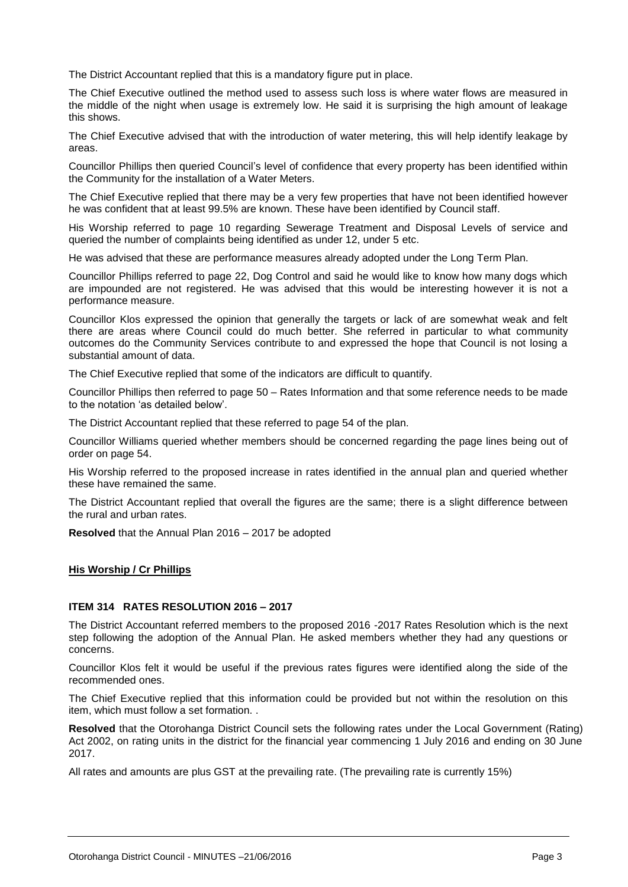The District Accountant replied that this is a mandatory figure put in place.

The Chief Executive outlined the method used to assess such loss is where water flows are measured in the middle of the night when usage is extremely low. He said it is surprising the high amount of leakage this shows.

The Chief Executive advised that with the introduction of water metering, this will help identify leakage by areas.

Councillor Phillips then queried Council's level of confidence that every property has been identified within the Community for the installation of a Water Meters.

The Chief Executive replied that there may be a very few properties that have not been identified however he was confident that at least 99.5% are known. These have been identified by Council staff.

His Worship referred to page 10 regarding Sewerage Treatment and Disposal Levels of service and queried the number of complaints being identified as under 12, under 5 etc.

He was advised that these are performance measures already adopted under the Long Term Plan.

Councillor Phillips referred to page 22, Dog Control and said he would like to know how many dogs which are impounded are not registered. He was advised that this would be interesting however it is not a performance measure.

Councillor Klos expressed the opinion that generally the targets or lack of are somewhat weak and felt there are areas where Council could do much better. She referred in particular to what community outcomes do the Community Services contribute to and expressed the hope that Council is not losing a substantial amount of data.

The Chief Executive replied that some of the indicators are difficult to quantify.

Councillor Phillips then referred to page 50 – Rates Information and that some reference needs to be made to the notation 'as detailed below'.

The District Accountant replied that these referred to page 54 of the plan.

Councillor Williams queried whether members should be concerned regarding the page lines being out of order on page 54.

His Worship referred to the proposed increase in rates identified in the annual plan and queried whether these have remained the same.

The District Accountant replied that overall the figures are the same; there is a slight difference between the rural and urban rates.

**Resolved** that the Annual Plan 2016 – 2017 be adopted

#### **His Worship / Cr Phillips**

#### **ITEM 314 RATES RESOLUTION 2016 – 2017**

The District Accountant referred members to the proposed 2016 -2017 Rates Resolution which is the next step following the adoption of the Annual Plan. He asked members whether they had any questions or concerns.

Councillor Klos felt it would be useful if the previous rates figures were identified along the side of the recommended ones.

The Chief Executive replied that this information could be provided but not within the resolution on this item, which must follow a set formation. .

**Resolved** that the Otorohanga District Council sets the following rates under the Local Government (Rating) Act 2002, on rating units in the district for the financial year commencing 1 July 2016 and ending on 30 June 2017.

All rates and amounts are plus GST at the prevailing rate. (The prevailing rate is currently 15%)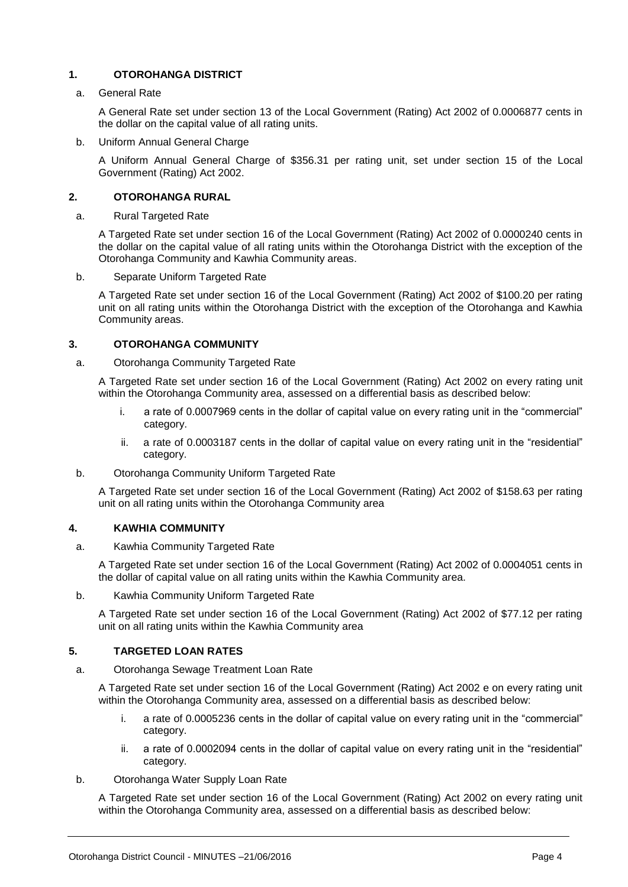#### **1. OTOROHANGA DISTRICT**

#### a. General Rate

A General Rate set under section 13 of the Local Government (Rating) Act 2002 of 0.0006877 cents in the dollar on the capital value of all rating units.

b. Uniform Annual General Charge

A Uniform Annual General Charge of \$356.31 per rating unit, set under section 15 of the Local Government (Rating) Act 2002.

#### **2. OTOROHANGA RURAL**

a. Rural Targeted Rate

A Targeted Rate set under section 16 of the Local Government (Rating) Act 2002 of 0.0000240 cents in the dollar on the capital value of all rating units within the Otorohanga District with the exception of the Otorohanga Community and Kawhia Community areas.

b. Separate Uniform Targeted Rate

A Targeted Rate set under section 16 of the Local Government (Rating) Act 2002 of \$100.20 per rating unit on all rating units within the Otorohanga District with the exception of the Otorohanga and Kawhia Community areas.

#### **3. OTOROHANGA COMMUNITY**

a. Otorohanga Community Targeted Rate

A Targeted Rate set under section 16 of the Local Government (Rating) Act 2002 on every rating unit within the Otorohanga Community area, assessed on a differential basis as described below:

- i. a rate of 0.0007969 cents in the dollar of capital value on every rating unit in the "commercial" category.
- ii. a rate of 0.0003187 cents in the dollar of capital value on every rating unit in the "residential" category.
- b. Otorohanga Community Uniform Targeted Rate

A Targeted Rate set under section 16 of the Local Government (Rating) Act 2002 of \$158.63 per rating unit on all rating units within the Otorohanga Community area

#### **4. KAWHIA COMMUNITY**

a. Kawhia Community Targeted Rate

A Targeted Rate set under section 16 of the Local Government (Rating) Act 2002 of 0.0004051 cents in the dollar of capital value on all rating units within the Kawhia Community area.

b. Kawhia Community Uniform Targeted Rate

A Targeted Rate set under section 16 of the Local Government (Rating) Act 2002 of \$77.12 per rating unit on all rating units within the Kawhia Community area

#### **5. TARGETED LOAN RATES**

a. Otorohanga Sewage Treatment Loan Rate

A Targeted Rate set under section 16 of the Local Government (Rating) Act 2002 e on every rating unit within the Otorohanga Community area, assessed on a differential basis as described below:

- i. a rate of 0.0005236 cents in the dollar of capital value on every rating unit in the "commercial" category.
- ii. a rate of 0.0002094 cents in the dollar of capital value on every rating unit in the "residential" category.
- b. Otorohanga Water Supply Loan Rate

A Targeted Rate set under section 16 of the Local Government (Rating) Act 2002 on every rating unit within the Otorohanga Community area, assessed on a differential basis as described below: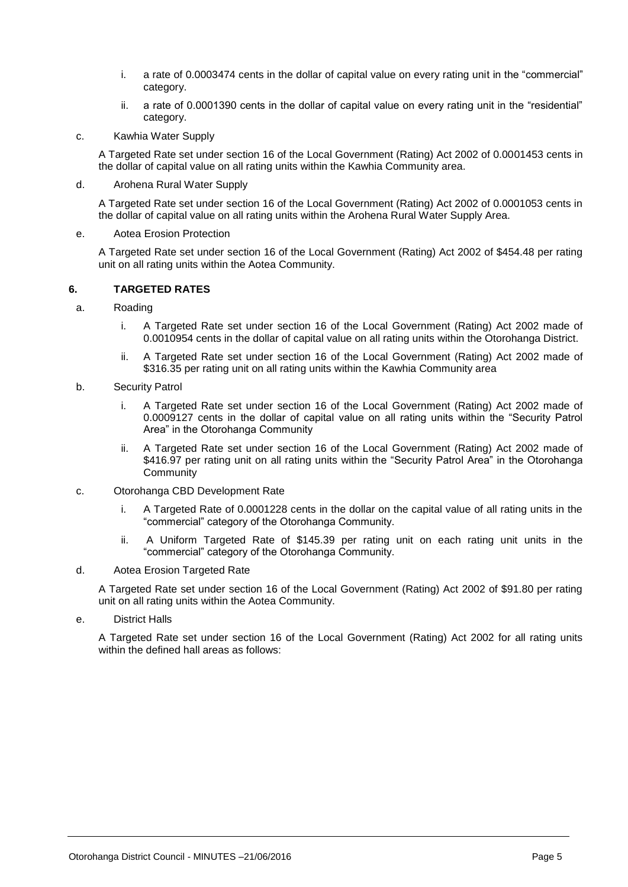- i. a rate of 0.0003474 cents in the dollar of capital value on every rating unit in the "commercial" category.
- ii. a rate of 0.0001390 cents in the dollar of capital value on every rating unit in the "residential" category.
- c. Kawhia Water Supply

A Targeted Rate set under section 16 of the Local Government (Rating) Act 2002 of 0.0001453 cents in the dollar of capital value on all rating units within the Kawhia Community area.

d. Arohena Rural Water Supply

A Targeted Rate set under section 16 of the Local Government (Rating) Act 2002 of 0.0001053 cents in the dollar of capital value on all rating units within the Arohena Rural Water Supply Area.

e. Aotea Erosion Protection

A Targeted Rate set under section 16 of the Local Government (Rating) Act 2002 of \$454.48 per rating unit on all rating units within the Aotea Community.

#### **6. TARGETED RATES**

- a. Roading
	- i. A Targeted Rate set under section 16 of the Local Government (Rating) Act 2002 made of 0.0010954 cents in the dollar of capital value on all rating units within the Otorohanga District.
	- ii. A Targeted Rate set under section 16 of the Local Government (Rating) Act 2002 made of \$316.35 per rating unit on all rating units within the Kawhia Community area
- b. Security Patrol
	- i. A Targeted Rate set under section 16 of the Local Government (Rating) Act 2002 made of 0.0009127 cents in the dollar of capital value on all rating units within the "Security Patrol Area" in the Otorohanga Community
	- ii. A Targeted Rate set under section 16 of the Local Government (Rating) Act 2002 made of \$416.97 per rating unit on all rating units within the "Security Patrol Area" in the Otorohanga **Community**
- c. Otorohanga CBD Development Rate
	- i. A Targeted Rate of 0.0001228 cents in the dollar on the capital value of all rating units in the "commercial" category of the Otorohanga Community.
	- ii. A Uniform Targeted Rate of \$145.39 per rating unit on each rating unit units in the "commercial" category of the Otorohanga Community.
- d. Aotea Erosion Targeted Rate

A Targeted Rate set under section 16 of the Local Government (Rating) Act 2002 of \$91.80 per rating unit on all rating units within the Aotea Community.

e. District Halls

A Targeted Rate set under section 16 of the Local Government (Rating) Act 2002 for all rating units within the defined hall areas as follows: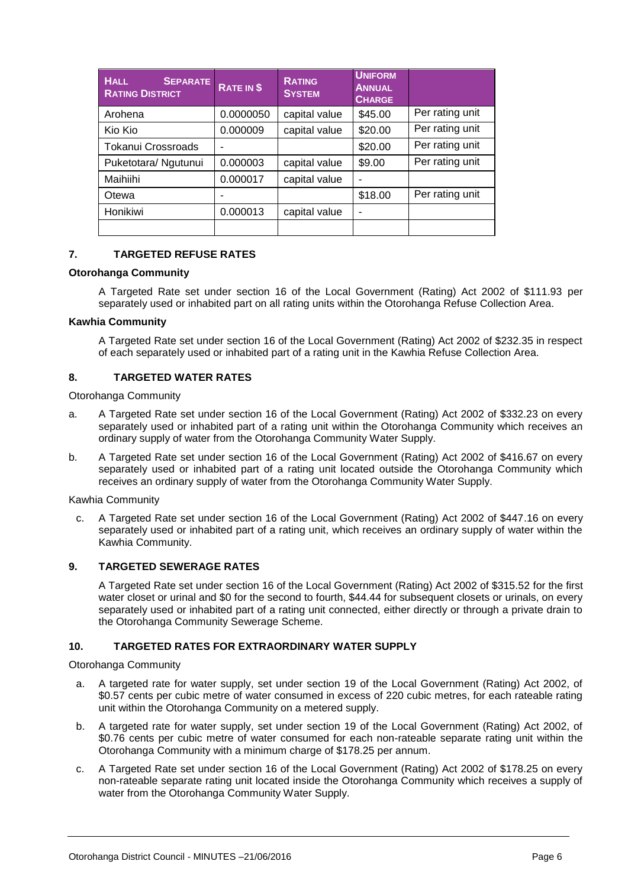| <b>HALL</b><br><b>SEPARATE</b><br><b>RATING DISTRICT</b> | RATE IN \$ | <b>RATING</b><br><b>SYSTEM</b> | <b>UNIFORM</b><br><b>ANNUAL</b><br><b>CHARGE</b> |                 |
|----------------------------------------------------------|------------|--------------------------------|--------------------------------------------------|-----------------|
| Arohena                                                  | 0.0000050  | capital value                  | \$45.00                                          | Per rating unit |
| Kio Kio                                                  | 0.000009   | capital value                  | \$20.00                                          | Per rating unit |
| <b>Tokanui Crossroads</b>                                |            |                                | \$20.00                                          | Per rating unit |
| Puketotara/ Ngutunui                                     | 0.000003   | capital value                  | \$9.00                                           | Per rating unit |
| Maihiihi                                                 | 0.000017   | capital value                  |                                                  |                 |
| Otewa                                                    |            |                                | \$18.00                                          | Per rating unit |
| Honikiwi                                                 | 0.000013   | capital value                  |                                                  |                 |
|                                                          |            |                                |                                                  |                 |

#### **7. TARGETED REFUSE RATES**

#### **Otorohanga Community**

A Targeted Rate set under section 16 of the Local Government (Rating) Act 2002 of \$111.93 per separately used or inhabited part on all rating units within the Otorohanga Refuse Collection Area.

#### **Kawhia Community**

A Targeted Rate set under section 16 of the Local Government (Rating) Act 2002 of \$232.35 in respect of each separately used or inhabited part of a rating unit in the Kawhia Refuse Collection Area.

#### **8. TARGETED WATER RATES**

Otorohanga Community

- a. A Targeted Rate set under section 16 of the Local Government (Rating) Act 2002 of \$332.23 on every separately used or inhabited part of a rating unit within the Otorohanga Community which receives an ordinary supply of water from the Otorohanga Community Water Supply.
- b. A Targeted Rate set under section 16 of the Local Government (Rating) Act 2002 of \$416.67 on every separately used or inhabited part of a rating unit located outside the Otorohanga Community which receives an ordinary supply of water from the Otorohanga Community Water Supply.

Kawhia Community

c. A Targeted Rate set under section 16 of the Local Government (Rating) Act 2002 of \$447.16 on every separately used or inhabited part of a rating unit, which receives an ordinary supply of water within the Kawhia Community.

#### **9. TARGETED SEWERAGE RATES**

A Targeted Rate set under section 16 of the Local Government (Rating) Act 2002 of \$315.52 for the first water closet or urinal and \$0 for the second to fourth, \$44.44 for subsequent closets or urinals, on every separately used or inhabited part of a rating unit connected, either directly or through a private drain to the Otorohanga Community Sewerage Scheme.

#### **10. TARGETED RATES FOR EXTRAORDINARY WATER SUPPLY**

Otorohanga Community

- a. A targeted rate for water supply, set under section 19 of the Local Government (Rating) Act 2002, of \$0.57 cents per cubic metre of water consumed in excess of 220 cubic metres, for each rateable rating unit within the Otorohanga Community on a metered supply.
- b. A targeted rate for water supply, set under section 19 of the Local Government (Rating) Act 2002, of \$0.76 cents per cubic metre of water consumed for each non-rateable separate rating unit within the Otorohanga Community with a minimum charge of \$178.25 per annum.
- c. A Targeted Rate set under section 16 of the Local Government (Rating) Act 2002 of \$178.25 on every non-rateable separate rating unit located inside the Otorohanga Community which receives a supply of water from the Otorohanga Community Water Supply.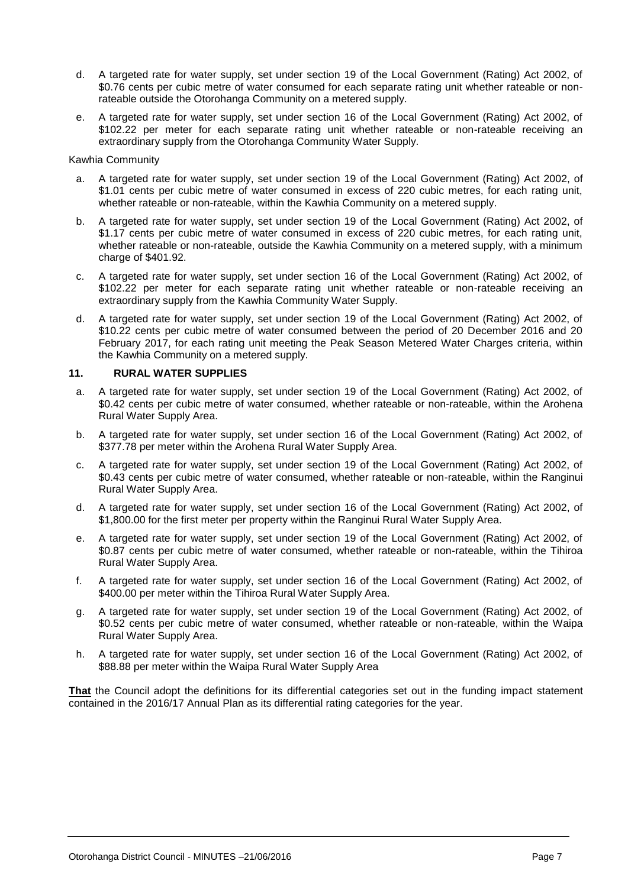- d. A targeted rate for water supply, set under section 19 of the Local Government (Rating) Act 2002, of \$0.76 cents per cubic metre of water consumed for each separate rating unit whether rateable or nonrateable outside the Otorohanga Community on a metered supply.
- e. A targeted rate for water supply, set under section 16 of the Local Government (Rating) Act 2002, of \$102.22 per meter for each separate rating unit whether rateable or non-rateable receiving an extraordinary supply from the Otorohanga Community Water Supply.

#### Kawhia Community

- a. A targeted rate for water supply, set under section 19 of the Local Government (Rating) Act 2002, of \$1.01 cents per cubic metre of water consumed in excess of 220 cubic metres, for each rating unit, whether rateable or non-rateable, within the Kawhia Community on a metered supply.
- b. A targeted rate for water supply, set under section 19 of the Local Government (Rating) Act 2002, of \$1.17 cents per cubic metre of water consumed in excess of 220 cubic metres, for each rating unit, whether rateable or non-rateable, outside the Kawhia Community on a metered supply, with a minimum charge of \$401.92.
- c. A targeted rate for water supply, set under section 16 of the Local Government (Rating) Act 2002, of \$102.22 per meter for each separate rating unit whether rateable or non-rateable receiving an extraordinary supply from the Kawhia Community Water Supply.
- d. A targeted rate for water supply, set under section 19 of the Local Government (Rating) Act 2002, of \$10.22 cents per cubic metre of water consumed between the period of 20 December 2016 and 20 February 2017, for each rating unit meeting the Peak Season Metered Water Charges criteria, within the Kawhia Community on a metered supply.

#### **11. RURAL WATER SUPPLIES**

- a. A targeted rate for water supply, set under section 19 of the Local Government (Rating) Act 2002, of \$0.42 cents per cubic metre of water consumed, whether rateable or non-rateable, within the Arohena Rural Water Supply Area.
- b. A targeted rate for water supply, set under section 16 of the Local Government (Rating) Act 2002, of \$377.78 per meter within the Arohena Rural Water Supply Area.
- c. A targeted rate for water supply, set under section 19 of the Local Government (Rating) Act 2002, of \$0.43 cents per cubic metre of water consumed, whether rateable or non-rateable, within the Ranginui Rural Water Supply Area.
- d. A targeted rate for water supply, set under section 16 of the Local Government (Rating) Act 2002, of \$1,800.00 for the first meter per property within the Ranginui Rural Water Supply Area.
- e. A targeted rate for water supply, set under section 19 of the Local Government (Rating) Act 2002, of \$0.87 cents per cubic metre of water consumed, whether rateable or non-rateable, within the Tihiroa Rural Water Supply Area.
- f. A targeted rate for water supply, set under section 16 of the Local Government (Rating) Act 2002, of \$400.00 per meter within the Tihiroa Rural Water Supply Area.
- g. A targeted rate for water supply, set under section 19 of the Local Government (Rating) Act 2002, of \$0.52 cents per cubic metre of water consumed, whether rateable or non-rateable, within the Waipa Rural Water Supply Area.
- h. A targeted rate for water supply, set under section 16 of the Local Government (Rating) Act 2002, of \$88.88 per meter within the Waipa Rural Water Supply Area

**That** the Council adopt the definitions for its differential categories set out in the funding impact statement contained in the 2016/17 Annual Plan as its differential rating categories for the year.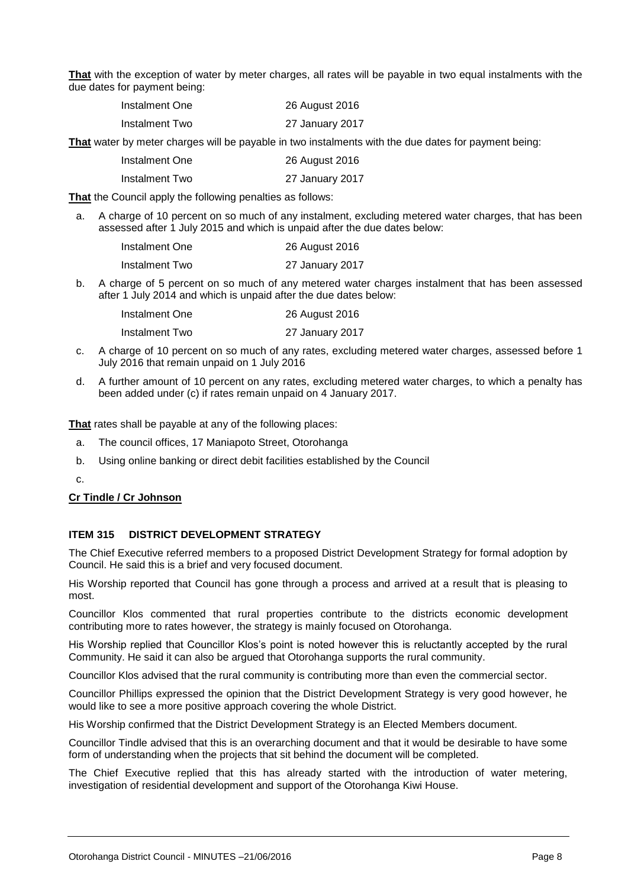**That** with the exception of water by meter charges, all rates will be payable in two equal instalments with the due dates for payment being:

| Instalment One | 26 August 2016  |  |
|----------------|-----------------|--|
| Instalment Two | 27 January 2017 |  |

**That** water by meter charges will be payable in two instalments with the due dates for payment being:

| 26 August 2016 |
|----------------|
|                |

Instalment Two 27 January 2017

**That** the Council apply the following penalties as follows:

a. A charge of 10 percent on so much of any instalment, excluding metered water charges, that has been assessed after 1 July 2015 and which is unpaid after the due dates below:

| Instalment One | 26 August 2016  |
|----------------|-----------------|
| Instalment Two | 27 January 2017 |

b. A charge of 5 percent on so much of any metered water charges instalment that has been assessed after 1 July 2014 and which is unpaid after the due dates below:

| Instalment One | 26 August 2016  |
|----------------|-----------------|
| Instalment Two | 27 January 2017 |

- c. A charge of 10 percent on so much of any rates, excluding metered water charges, assessed before 1 July 2016 that remain unpaid on 1 July 2016
- d. A further amount of 10 percent on any rates, excluding metered water charges, to which a penalty has been added under (c) if rates remain unpaid on 4 January 2017.

**That** rates shall be payable at any of the following places:

- a. The council offices, 17 Maniapoto Street, Otorohanga
- b. Using online banking or direct debit facilities established by the Council

c.

#### **Cr Tindle / Cr Johnson**

#### **ITEM 315 DISTRICT DEVELOPMENT STRATEGY**

The Chief Executive referred members to a proposed District Development Strategy for formal adoption by Council. He said this is a brief and very focused document.

His Worship reported that Council has gone through a process and arrived at a result that is pleasing to most.

Councillor Klos commented that rural properties contribute to the districts economic development contributing more to rates however, the strategy is mainly focused on Otorohanga.

His Worship replied that Councillor Klos's point is noted however this is reluctantly accepted by the rural Community. He said it can also be argued that Otorohanga supports the rural community.

Councillor Klos advised that the rural community is contributing more than even the commercial sector.

Councillor Phillips expressed the opinion that the District Development Strategy is very good however, he would like to see a more positive approach covering the whole District.

His Worship confirmed that the District Development Strategy is an Elected Members document.

Councillor Tindle advised that this is an overarching document and that it would be desirable to have some form of understanding when the projects that sit behind the document will be completed.

The Chief Executive replied that this has already started with the introduction of water metering, investigation of residential development and support of the Otorohanga Kiwi House.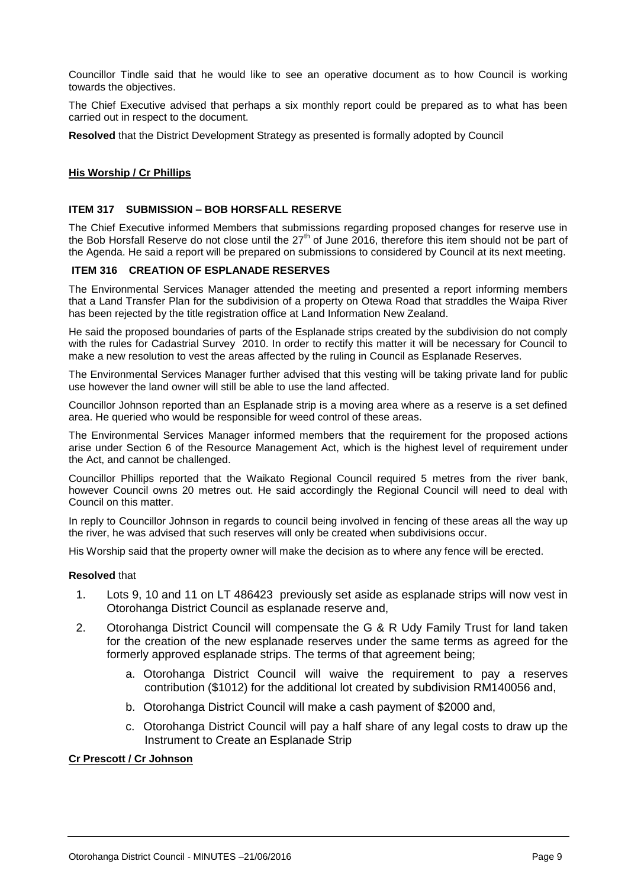Councillor Tindle said that he would like to see an operative document as to how Council is working towards the objectives.

The Chief Executive advised that perhaps a six monthly report could be prepared as to what has been carried out in respect to the document.

**Resolved** that the District Development Strategy as presented is formally adopted by Council

#### **His Worship / Cr Phillips**

#### **ITEM 317 SUBMISSION – BOB HORSFALL RESERVE**

The Chief Executive informed Members that submissions regarding proposed changes for reserve use in the Bob Horsfall Reserve do not close until the  $27<sup>th</sup>$  of June 2016, therefore this item should not be part of the Agenda. He said a report will be prepared on submissions to considered by Council at its next meeting.

#### **ITEM 316 CREATION OF ESPLANADE RESERVES**

The Environmental Services Manager attended the meeting and presented a report informing members that a Land Transfer Plan for the subdivision of a property on Otewa Road that straddles the Waipa River has been rejected by the title registration office at Land Information New Zealand.

He said the proposed boundaries of parts of the Esplanade strips created by the subdivision do not comply with the rules for Cadastrial Survey 2010. In order to rectify this matter it will be necessary for Council to make a new resolution to vest the areas affected by the ruling in Council as Esplanade Reserves.

The Environmental Services Manager further advised that this vesting will be taking private land for public use however the land owner will still be able to use the land affected.

Councillor Johnson reported than an Esplanade strip is a moving area where as a reserve is a set defined area. He queried who would be responsible for weed control of these areas.

The Environmental Services Manager informed members that the requirement for the proposed actions arise under Section 6 of the Resource Management Act, which is the highest level of requirement under the Act, and cannot be challenged.

Councillor Phillips reported that the Waikato Regional Council required 5 metres from the river bank, however Council owns 20 metres out. He said accordingly the Regional Council will need to deal with Council on this matter.

In reply to Councillor Johnson in regards to council being involved in fencing of these areas all the way up the river, he was advised that such reserves will only be created when subdivisions occur.

His Worship said that the property owner will make the decision as to where any fence will be erected.

#### **Resolved** that

- 1. Lots 9, 10 and 11 on LT 486423 previously set aside as esplanade strips will now vest in Otorohanga District Council as esplanade reserve and,
- 2. Otorohanga District Council will compensate the G & R Udy Family Trust for land taken for the creation of the new esplanade reserves under the same terms as agreed for the formerly approved esplanade strips. The terms of that agreement being;
	- a. Otorohanga District Council will waive the requirement to pay a reserves contribution (\$1012) for the additional lot created by subdivision RM140056 and,
	- b. Otorohanga District Council will make a cash payment of \$2000 and,
	- c. Otorohanga District Council will pay a half share of any legal costs to draw up the Instrument to Create an Esplanade Strip

#### **Cr Prescott / Cr Johnson**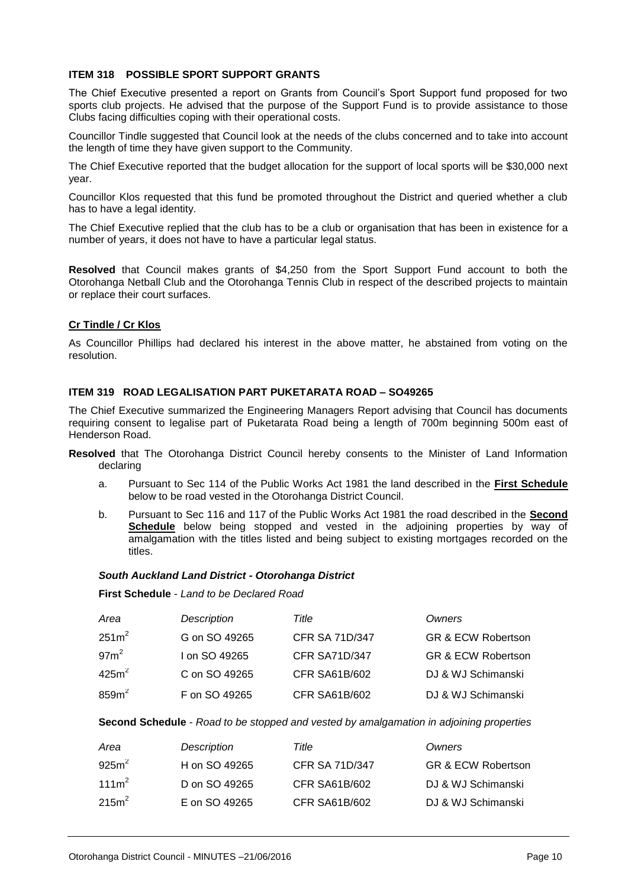#### **ITEM 318 POSSIBLE SPORT SUPPORT GRANTS**

The Chief Executive presented a report on Grants from Council's Sport Support fund proposed for two sports club projects. He advised that the purpose of the Support Fund is to provide assistance to those Clubs facing difficulties coping with their operational costs.

Councillor Tindle suggested that Council look at the needs of the clubs concerned and to take into account the length of time they have given support to the Community.

The Chief Executive reported that the budget allocation for the support of local sports will be \$30,000 next year.

Councillor Klos requested that this fund be promoted throughout the District and queried whether a club has to have a legal identity.

The Chief Executive replied that the club has to be a club or organisation that has been in existence for a number of years, it does not have to have a particular legal status.

**Resolved** that Council makes grants of \$4,250 from the Sport Support Fund account to both the Otorohanga Netball Club and the Otorohanga Tennis Club in respect of the described projects to maintain or replace their court surfaces.

#### **Cr Tindle / Cr Klos**

As Councillor Phillips had declared his interest in the above matter, he abstained from voting on the resolution.

#### **ITEM 319 ROAD LEGALISATION PART PUKETARATA ROAD – SO49265**

The Chief Executive summarized the Engineering Managers Report advising that Council has documents requiring consent to legalise part of Puketarata Road being a length of 700m beginning 500m east of Henderson Road.

- **Resolved** that The Otorohanga District Council hereby consents to the Minister of Land Information declaring
	- a. Pursuant to Sec 114 of the Public Works Act 1981 the land described in the **First Schedule** below to be road vested in the Otorohanga District Council.
	- b. Pursuant to Sec 116 and 117 of the Public Works Act 1981 the road described in the **Second Schedule** below being stopped and vested in the adjoining properties by way of amalgamation with the titles listed and being subject to existing mortgages recorded on the titles.

#### *South Auckland Land District - Otorohanga District*

**First Schedule** - *Land to be Declared Road*

| Area              | Description   | Title                | Owners                        |
|-------------------|---------------|----------------------|-------------------------------|
| $251m^2$          | G on SO 49265 | CFR SA 71D/347       | <b>GR &amp; ECW Robertson</b> |
| 97 <sup>2</sup>   | I on SO 49265 | <b>CFR SA71D/347</b> | <b>GR &amp; ECW Robertson</b> |
| 425m <sup>2</sup> | C on SO 49265 | <b>CFR SA61B/602</b> | DJ & WJ Schimanski            |
| $859m^2$          | F on SO 49265 | CFR SA61B/602        | DJ & WJ Schimanski            |

**Second Schedule** - *Road to be stopped and vested by amalgamation in adjoining properties*

| Area              | Description   | Title          | Owners                        |
|-------------------|---------------|----------------|-------------------------------|
| 925m <sup>2</sup> | H on SO 49265 | CFR SA 71D/347 | <b>GR &amp; ECW Robertson</b> |
| 111m <sup>2</sup> | D on SO 49265 | CFR SA61B/602  | DJ & WJ Schimanski            |
| 215m <sup>2</sup> | E on SO 49265 | CFR SA61B/602  | DJ & WJ Schimanski            |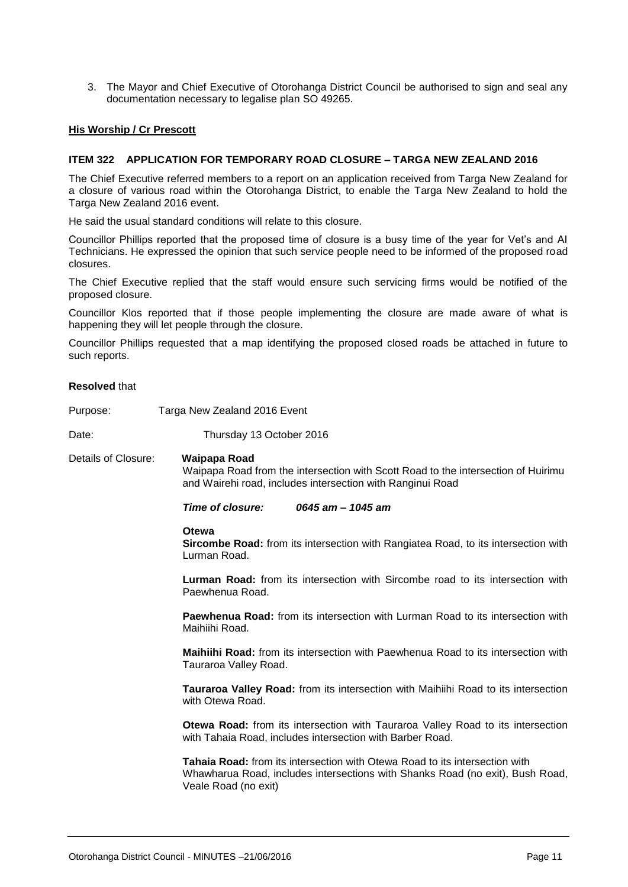3. The Mayor and Chief Executive of Otorohanga District Council be authorised to sign and seal any documentation necessary to legalise plan SO 49265.

#### **His Worship / Cr Prescott**

#### **ITEM 322 APPLICATION FOR TEMPORARY ROAD CLOSURE – TARGA NEW ZEALAND 2016**

The Chief Executive referred members to a report on an application received from Targa New Zealand for a closure of various road within the Otorohanga District, to enable the Targa New Zealand to hold the Targa New Zealand 2016 event.

He said the usual standard conditions will relate to this closure.

Councillor Phillips reported that the proposed time of closure is a busy time of the year for Vet's and AI Technicians. He expressed the opinion that such service people need to be informed of the proposed road closures.

The Chief Executive replied that the staff would ensure such servicing firms would be notified of the proposed closure.

Councillor Klos reported that if those people implementing the closure are made aware of what is happening they will let people through the closure.

Councillor Phillips requested that a map identifying the proposed closed roads be attached in future to such reports.

#### **Resolved** that

Purpose: Targa New Zealand 2016 Event

Date: Date: Thursday 13 October 2016

Details of Closure: **Waipapa Road** Waipapa Road from the intersection with Scott Road to the intersection of Huirimu and Wairehi road, includes intersection with Ranginui Road

#### *Time of closure: 0645 am – 1045 am*

#### **Otewa**

**Sircombe Road:** from its intersection with Rangiatea Road, to its intersection with Lurman Road.

**Lurman Road:** from its intersection with Sircombe road to its intersection with Paewhenua Road.

**Paewhenua Road:** from its intersection with Lurman Road to its intersection with Maihiihi Road.

**Maihiihi Road:** from its intersection with Paewhenua Road to its intersection with Tauraroa Valley Road.

**Tauraroa Valley Road:** from its intersection with Maihiihi Road to its intersection with Otewa Road.

**Otewa Road:** from its intersection with Tauraroa Valley Road to its intersection with Tahaia Road, includes intersection with Barber Road.

**Tahaia Road:** from its intersection with Otewa Road to its intersection with Whawharua Road, includes intersections with Shanks Road (no exit), Bush Road, Veale Road (no exit)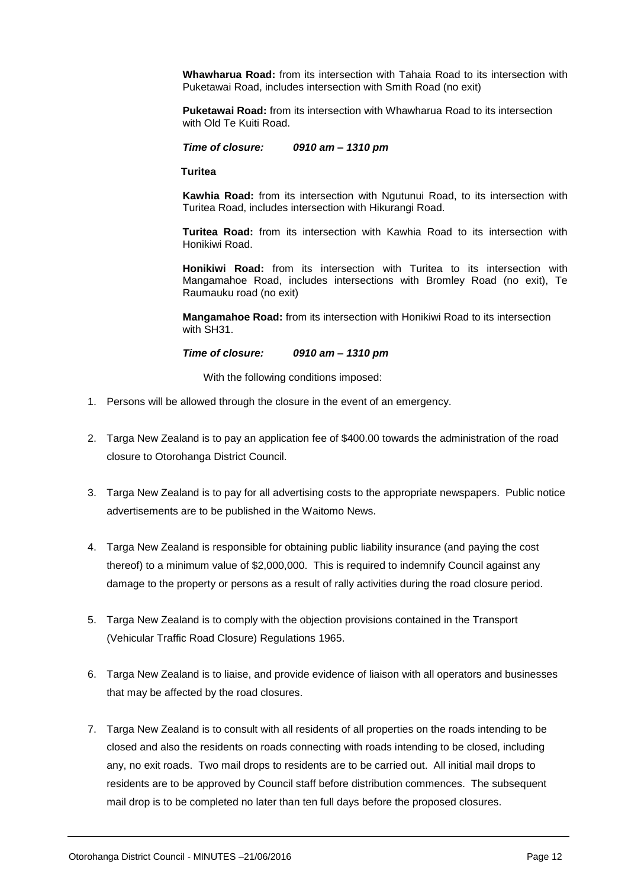**Whawharua Road:** from its intersection with Tahaia Road to its intersection with Puketawai Road, includes intersection with Smith Road (no exit)

**Puketawai Road:** from its intersection with Whawharua Road to its intersection with Old Te Kuiti Road.

*Time of closure: 0910 am – 1310 pm*

**Turitea**

**Kawhia Road:** from its intersection with Ngutunui Road, to its intersection with Turitea Road, includes intersection with Hikurangi Road.

**Turitea Road:** from its intersection with Kawhia Road to its intersection with Honikiwi Road.

**Honikiwi Road:** from its intersection with Turitea to its intersection with Mangamahoe Road, includes intersections with Bromley Road (no exit), Te Raumauku road (no exit)

**Mangamahoe Road:** from its intersection with Honikiwi Road to its intersection with SH31.

*Time of closure: 0910 am – 1310 pm*

With the following conditions imposed:

- 1. Persons will be allowed through the closure in the event of an emergency.
- 2. Targa New Zealand is to pay an application fee of \$400.00 towards the administration of the road closure to Otorohanga District Council.
- 3. Targa New Zealand is to pay for all advertising costs to the appropriate newspapers. Public notice advertisements are to be published in the Waitomo News.
- 4. Targa New Zealand is responsible for obtaining public liability insurance (and paying the cost thereof) to a minimum value of \$2,000,000. This is required to indemnify Council against any damage to the property or persons as a result of rally activities during the road closure period.
- 5. Targa New Zealand is to comply with the objection provisions contained in the Transport (Vehicular Traffic Road Closure) Regulations 1965.
- 6. Targa New Zealand is to liaise, and provide evidence of liaison with all operators and businesses that may be affected by the road closures.
- 7. Targa New Zealand is to consult with all residents of all properties on the roads intending to be closed and also the residents on roads connecting with roads intending to be closed, including any, no exit roads. Two mail drops to residents are to be carried out. All initial mail drops to residents are to be approved by Council staff before distribution commences. The subsequent mail drop is to be completed no later than ten full days before the proposed closures.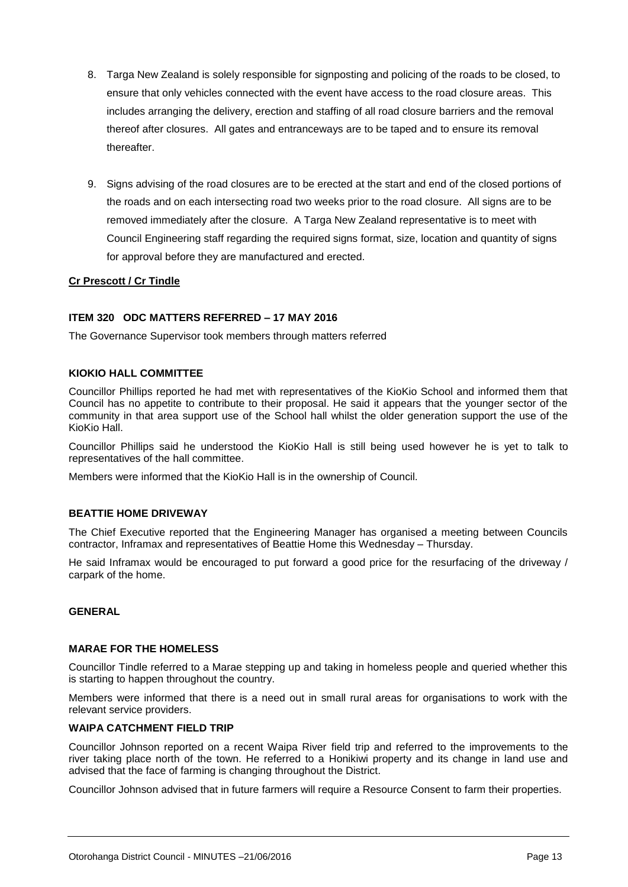- 8. Targa New Zealand is solely responsible for signposting and policing of the roads to be closed, to ensure that only vehicles connected with the event have access to the road closure areas. This includes arranging the delivery, erection and staffing of all road closure barriers and the removal thereof after closures. All gates and entranceways are to be taped and to ensure its removal thereafter.
- 9. Signs advising of the road closures are to be erected at the start and end of the closed portions of the roads and on each intersecting road two weeks prior to the road closure. All signs are to be removed immediately after the closure. A Targa New Zealand representative is to meet with Council Engineering staff regarding the required signs format, size, location and quantity of signs for approval before they are manufactured and erected.

#### **Cr Prescott / Cr Tindle**

#### **ITEM 320 ODC MATTERS REFERRED – 17 MAY 2016**

The Governance Supervisor took members through matters referred

#### **KIOKIO HALL COMMITTEE**

Councillor Phillips reported he had met with representatives of the KioKio School and informed them that Council has no appetite to contribute to their proposal. He said it appears that the younger sector of the community in that area support use of the School hall whilst the older generation support the use of the KioKio Hall.

Councillor Phillips said he understood the KioKio Hall is still being used however he is yet to talk to representatives of the hall committee.

Members were informed that the KioKio Hall is in the ownership of Council.

#### **BEATTIE HOME DRIVEWAY**

The Chief Executive reported that the Engineering Manager has organised a meeting between Councils contractor, Inframax and representatives of Beattie Home this Wednesday – Thursday.

He said Inframax would be encouraged to put forward a good price for the resurfacing of the driveway / carpark of the home.

#### **GENERAL**

#### **MARAE FOR THE HOMELESS**

Councillor Tindle referred to a Marae stepping up and taking in homeless people and queried whether this is starting to happen throughout the country.

Members were informed that there is a need out in small rural areas for organisations to work with the relevant service providers.

#### **WAIPA CATCHMENT FIELD TRIP**

Councillor Johnson reported on a recent Waipa River field trip and referred to the improvements to the river taking place north of the town. He referred to a Honikiwi property and its change in land use and advised that the face of farming is changing throughout the District.

Councillor Johnson advised that in future farmers will require a Resource Consent to farm their properties.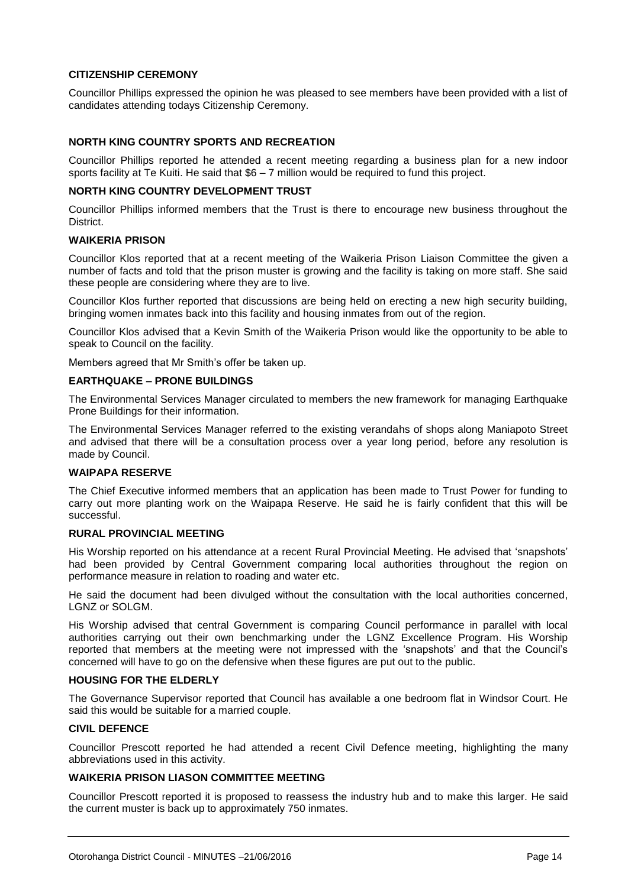#### **CITIZENSHIP CEREMONY**

Councillor Phillips expressed the opinion he was pleased to see members have been provided with a list of candidates attending todays Citizenship Ceremony.

#### **NORTH KING COUNTRY SPORTS AND RECREATION**

Councillor Phillips reported he attended a recent meeting regarding a business plan for a new indoor sports facility at Te Kuiti. He said that \$6 – 7 million would be required to fund this project.

#### **NORTH KING COUNTRY DEVELOPMENT TRUST**

Councillor Phillips informed members that the Trust is there to encourage new business throughout the District.

#### **WAIKERIA PRISON**

Councillor Klos reported that at a recent meeting of the Waikeria Prison Liaison Committee the given a number of facts and told that the prison muster is growing and the facility is taking on more staff. She said these people are considering where they are to live.

Councillor Klos further reported that discussions are being held on erecting a new high security building, bringing women inmates back into this facility and housing inmates from out of the region.

Councillor Klos advised that a Kevin Smith of the Waikeria Prison would like the opportunity to be able to speak to Council on the facility.

Members agreed that Mr Smith's offer be taken up.

#### **EARTHQUAKE – PRONE BUILDINGS**

The Environmental Services Manager circulated to members the new framework for managing Earthquake Prone Buildings for their information.

The Environmental Services Manager referred to the existing verandahs of shops along Maniapoto Street and advised that there will be a consultation process over a year long period, before any resolution is made by Council.

#### **WAIPAPA RESERVE**

The Chief Executive informed members that an application has been made to Trust Power for funding to carry out more planting work on the Waipapa Reserve. He said he is fairly confident that this will be successful.

#### **RURAL PROVINCIAL MEETING**

His Worship reported on his attendance at a recent Rural Provincial Meeting. He advised that 'snapshots' had been provided by Central Government comparing local authorities throughout the region on performance measure in relation to roading and water etc.

He said the document had been divulged without the consultation with the local authorities concerned, LGNZ or SOLGM.

His Worship advised that central Government is comparing Council performance in parallel with local authorities carrying out their own benchmarking under the LGNZ Excellence Program. His Worship reported that members at the meeting were not impressed with the 'snapshots' and that the Council's concerned will have to go on the defensive when these figures are put out to the public.

#### **HOUSING FOR THE ELDERLY**

The Governance Supervisor reported that Council has available a one bedroom flat in Windsor Court. He said this would be suitable for a married couple.

#### **CIVIL DEFENCE**

Councillor Prescott reported he had attended a recent Civil Defence meeting, highlighting the many abbreviations used in this activity.

#### **WAIKERIA PRISON LIASON COMMITTEE MEETING**

Councillor Prescott reported it is proposed to reassess the industry hub and to make this larger. He said the current muster is back up to approximately 750 inmates.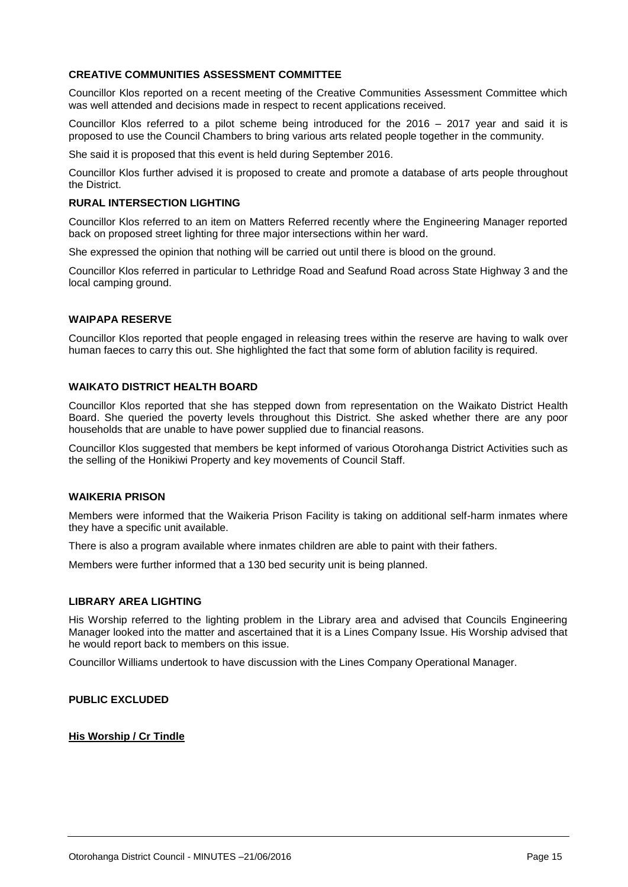#### **CREATIVE COMMUNITIES ASSESSMENT COMMITTEE**

Councillor Klos reported on a recent meeting of the Creative Communities Assessment Committee which was well attended and decisions made in respect to recent applications received.

Councillor Klos referred to a pilot scheme being introduced for the 2016 – 2017 year and said it is proposed to use the Council Chambers to bring various arts related people together in the community.

She said it is proposed that this event is held during September 2016.

Councillor Klos further advised it is proposed to create and promote a database of arts people throughout the District.

#### **RURAL INTERSECTION LIGHTING**

Councillor Klos referred to an item on Matters Referred recently where the Engineering Manager reported back on proposed street lighting for three major intersections within her ward.

She expressed the opinion that nothing will be carried out until there is blood on the ground.

Councillor Klos referred in particular to Lethridge Road and Seafund Road across State Highway 3 and the local camping ground.

#### **WAIPAPA RESERVE**

Councillor Klos reported that people engaged in releasing trees within the reserve are having to walk over human faeces to carry this out. She highlighted the fact that some form of ablution facility is required.

#### **WAIKATO DISTRICT HEALTH BOARD**

Councillor Klos reported that she has stepped down from representation on the Waikato District Health Board. She queried the poverty levels throughout this District. She asked whether there are any poor households that are unable to have power supplied due to financial reasons.

Councillor Klos suggested that members be kept informed of various Otorohanga District Activities such as the selling of the Honikiwi Property and key movements of Council Staff.

#### **WAIKERIA PRISON**

Members were informed that the Waikeria Prison Facility is taking on additional self-harm inmates where they have a specific unit available.

There is also a program available where inmates children are able to paint with their fathers.

Members were further informed that a 130 bed security unit is being planned.

#### **LIBRARY AREA LIGHTING**

His Worship referred to the lighting problem in the Library area and advised that Councils Engineering Manager looked into the matter and ascertained that it is a Lines Company Issue. His Worship advised that he would report back to members on this issue.

Councillor Williams undertook to have discussion with the Lines Company Operational Manager.

**PUBLIC EXCLUDED**

#### **His Worship / Cr Tindle**